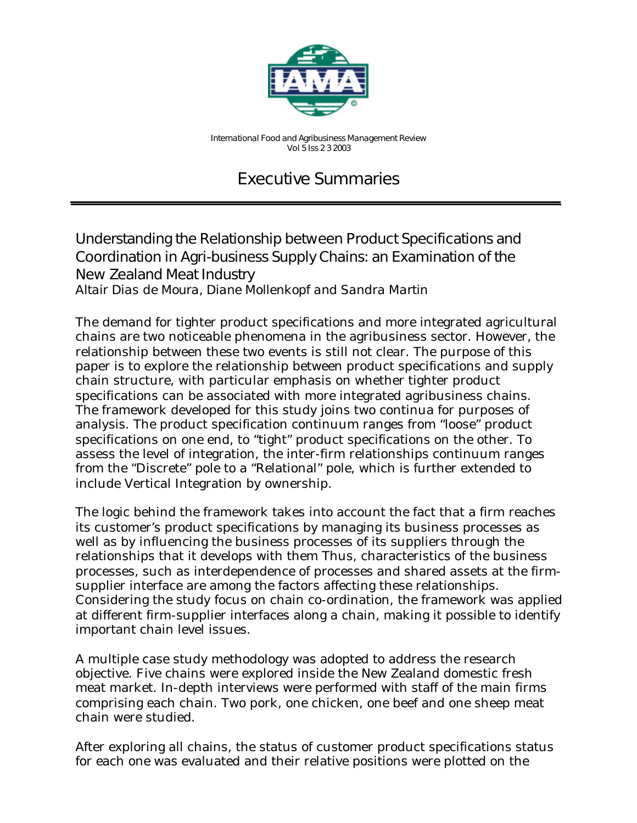

*International Food and Agribusiness Management Review Vol 5 Iss 2 3 2003*

# Executive Summaries

## Understanding the Relationship between Product Specifications and Coordination in Agri-business Supply Chains: an Examination of the New Zealand Meat Industry

*Altair Dias de Moura, Diane Mollenkopf and Sandra Martin*

The demand for tighter product specifications and more integrated agricultural chains are two noticeable phenomena in the agribusiness sector. However, the relationship between these two events is still not clear. The purpose of this paper is to explore the relationship between product specifications and supply chain structure, with particular emphasis on whether tighter product specifications can be associated with more integrated agribusiness chains. The framework developed for this study joins two continua for purposes of analysis. The product specification continuum ranges from "loose" product specifications on one end, to "tight" product specifications on the other. To assess the level of integration, the inter-firm relationships continuum ranges from the "Discrete" pole to a "Relational" pole, which is further extended to include Vertical Integration by ownership.

The logic behind the framework takes into account the fact that a firm reaches its customer's product specifications by managing its business processes as well as by influencing the business processes of its suppliers through the relationships that it develops with them Thus, characteristics of the business processes, such as interdependence of processes and shared assets at the firmsupplier interface are among the factors affecting these relationships. Considering the study focus on chain co-ordination, the framework was applied at different firm-supplier interfaces along a chain, making it possible to identify important chain level issues.

A multiple case study methodology was adopted to address the research objective. Five chains were explored inside the New Zealand domestic fresh meat market. In-depth interviews were performed with staff of the main firms comprising each chain. Two pork, one chicken, one beef and one sheep meat chain were studied.

After exploring all chains, the status of customer product specifications status for each one was evaluated and their relative positions were plotted on the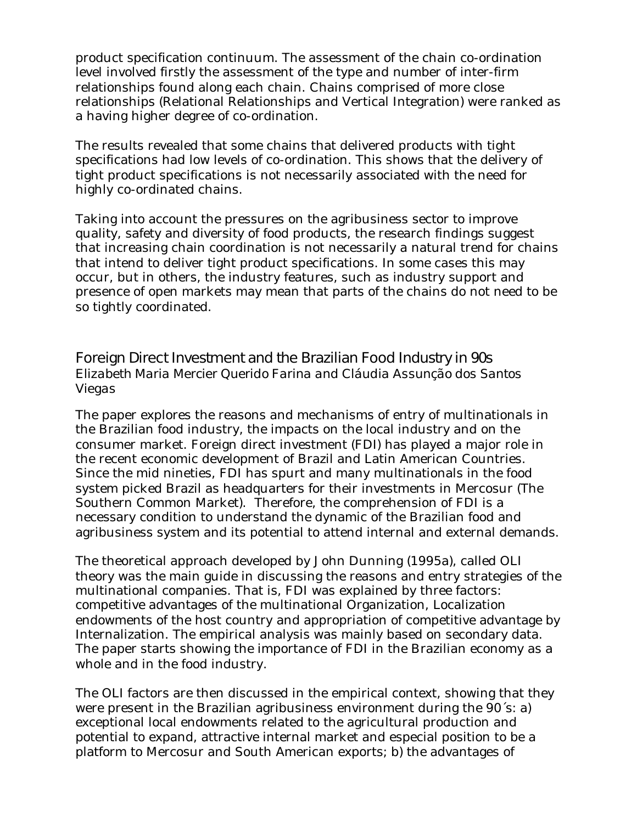product specification continuum. The assessment of the chain co-ordination level involved firstly the assessment of the type and number of inter-firm relationships found along each chain. Chains comprised of more close relationships (Relational Relationships and Vertical Integration) were ranked as a having higher degree of co-ordination.

The results revealed that some chains that delivered products with tight specifications had low levels of co-ordination. This shows that the delivery of tight product specifications is not necessarily associated with the need for highly co-ordinated chains.

Taking into account the pressures on the agribusiness sector to improve quality, safety and diversity of food products, the research findings suggest that increasing chain coordination is not necessarily a natural trend for chains that intend to deliver tight product specifications. In some cases this may occur, but in others, the industry features, such as industry support and presence of open markets may mean that parts of the chains do not need to be so tightly coordinated.

#### Foreign Direct Investment and the Brazilian Food Industry in 90s *Elizabeth Maria Mercier Querido Farina and Cláudia Assunção dos Santos Viegas*

The paper explores the reasons and mechanisms of entry of multinationals in the Brazilian food industry, the impacts on the local industry and on the consumer market. Foreign direct investment (FDI) has played a major role in the recent economic development of Brazil and Latin American Countries. Since the mid nineties, FDI has spurt and many multinationals in the food system picked Brazil as headquarters for their investments in Mercosur (The Southern Common Market). Therefore, the comprehension of FDI is a necessary condition to understand the dynamic of the Brazilian food and agribusiness system and its potential to attend internal and external demands.

The theoretical approach developed by John Dunning (1995a), called OLI theory was the main guide in discussing the reasons and entry strategies of the multinational companies. That is, FDI was explained by three factors: competitive advantages of the multinational Organization, Localization endowments of the host country and appropriation of competitive advantage by Internalization. The empirical analysis was mainly based on secondary data. The paper starts showing the importance of FDI in the Brazilian economy as a whole and in the food industry.

The OLI factors are then discussed in the empirical context, showing that they were present in the Brazilian agribusiness environment during the 90´s: a) exceptional local endowments related to the agricultural production and potential to expand, attractive internal market and especial position to be a platform to Mercosur and South American exports; b) the advantages of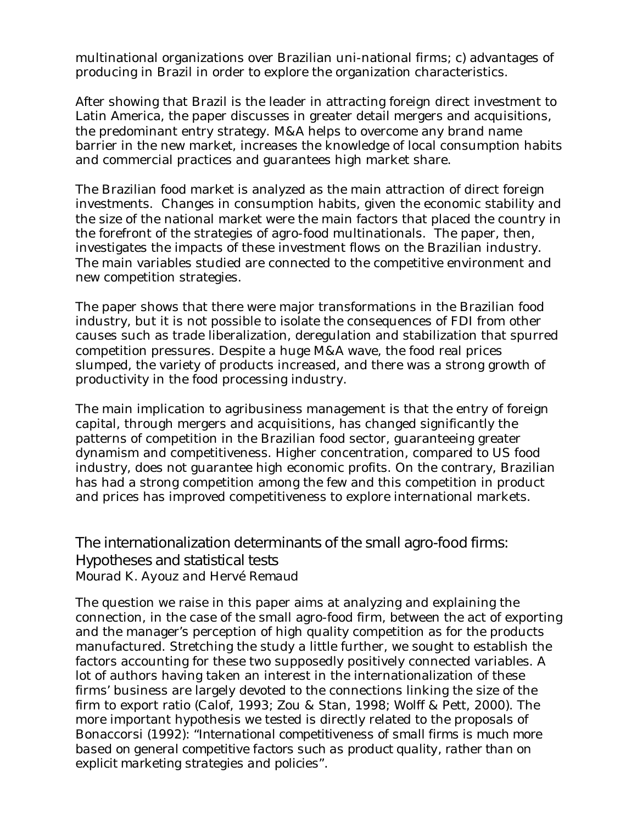multinational organizations over Brazilian uni-national firms; c) advantages of producing in Brazil in order to explore the organization characteristics.

After showing that Brazil is the leader in attracting foreign direct investment to Latin America, the paper discusses in greater detail mergers and acquisitions, the predominant entry strategy. M&A helps to overcome any brand name barrier in the new market, increases the knowledge of local consumption habits and commercial practices and guarantees high market share.

The Brazilian food market is analyzed as the main attraction of direct foreign investments. Changes in consumption habits, given the economic stability and the size of the national market were the main factors that placed the country in the forefront of the strategies of agro-food multinationals. The paper, then, investigates the impacts of these investment flows on the Brazilian industry. The main variables studied are connected to the competitive environment and new competition strategies.

The paper shows that there were major transformations in the Brazilian food industry, but it is not possible to isolate the consequences of FDI from other causes such as trade liberalization, deregulation and stabilization that spurred competition pressures. Despite a huge M&A wave, the food real prices slumped, the variety of products increased, and there was a strong growth of productivity in the food processing industry.

The main implication to agribusiness management is that the entry of foreign capital, through mergers and acquisitions, has changed significantly the patterns of competition in the Brazilian food sector, guaranteeing greater dynamism and competitiveness. Higher concentration, compared to US food industry, does not guarantee high economic profits. On the contrary, Brazilian has had a strong competition among the few and this competition in product and prices has improved competitiveness to explore international markets.

## The internationalization determinants of the small agro-food firms: Hypotheses and statistical tests

*Mourad K. Ayouz and Hervé Remaud*

The question we raise in this paper aims at analyzing and explaining the connection, in the case of the small agro-food firm, between the act of exporting and the manager's perception of high quality competition as for the products manufactured. Stretching the study a little further, we sought to establish the factors accounting for these two supposedly positively connected variables. A lot of authors having taken an interest in the internationalization of these firms' business are largely devoted to the connections linking the size of the firm to export ratio (Calof, 1993; Zou & Stan, 1998; Wolff & Pett, 2000). The more important hypothesis we tested is directly related to the proposals of Bonaccorsi (1992): "*International competitiveness of small firms is much more based on general competitive factors such as product quality, rather than on explicit marketing strategies and policies".*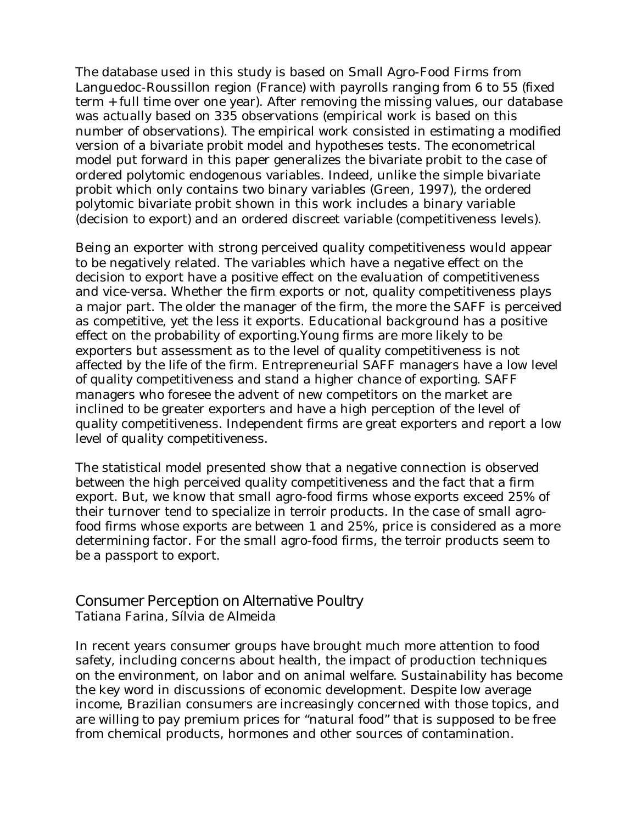The database used in this study is based on Small Agro-Food Firms from Languedoc-Roussillon region (France) with payrolls ranging from 6 to 55 (fixed term + full time over one year). After removing the missing values, our database was actually based on 335 observations (empirical work is based on this number of observations). The empirical work consisted in estimating a modified version of a bivariate probit model and hypotheses tests. The econometrical model put forward in this paper generalizes the bivariate probit to the case of ordered polytomic endogenous variables. Indeed, unlike the simple bivariate probit which only contains two binary variables (Green, 1997), the ordered polytomic bivariate probit shown in this work includes a binary variable (decision to export) and an ordered discreet variable (competitiveness levels).

Being an exporter with strong perceived quality competitiveness would appear to be negatively related. The variables which have a negative effect on the decision to export have a positive effect on the evaluation of competitiveness and vice-versa. Whether the firm exports or not, quality competitiveness plays a major part. The older the manager of the firm, the more the SAFF is perceived as competitive, yet the less it exports. Educational background has a positive effect on the probability of exporting.Young firms are more likely to be exporters but assessment as to the level of quality competitiveness is not affected by the life of the firm. Entrepreneurial SAFF managers have a low level of quality competitiveness and stand a higher chance of exporting. SAFF managers who foresee the advent of new competitors on the market are inclined to be greater exporters and have a high perception of the level of quality competitiveness. Independent firms are great exporters and report a low level of quality competitiveness.

The statistical model presented show that a negative connection is observed between the high perceived quality competitiveness and the fact that a firm export. But, we know that small agro-food firms whose exports exceed 25% of their turnover tend to specialize in *terroir* products. In the case of small agrofood firms whose exports are between 1 and 25%, price is considered as a more determining factor. For the small agro-food firms, the *terroir* products seem to be a passport to export.

#### Consumer Perception on Alternative Poultry

*Tatiana Farina, Sílvia de Almeida*

In recent years consumer groups have brought much more attention to food safety, including concerns about health, the impact of production techniques on the environment, on labor and on animal welfare. Sustainability has become the key word in discussions of economic development. Despite low average income, Brazilian consumers are increasingly concerned with those topics, and are willing to pay premium prices for "natural food" that is supposed to be free from chemical products, hormones and other sources of contamination.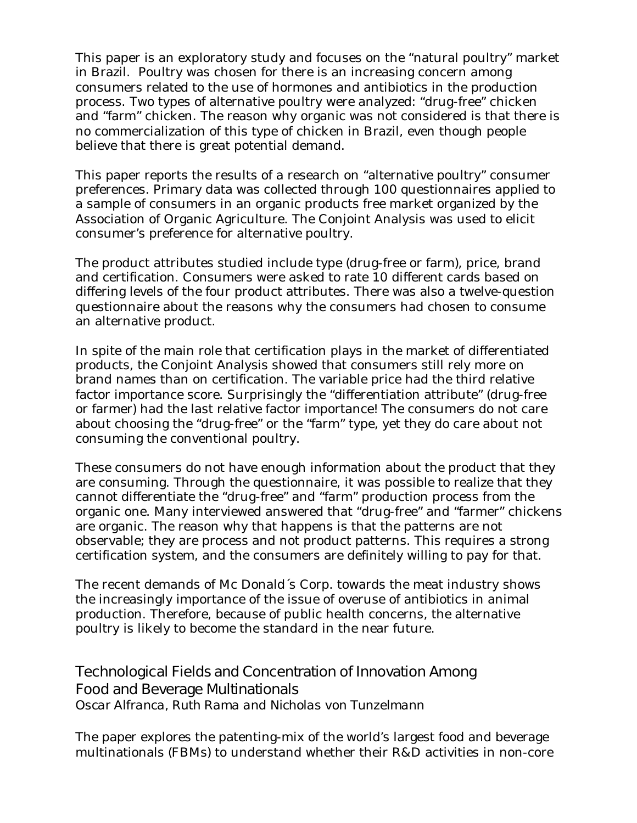This paper is an exploratory study and focuses on the "natural poultry" market in Brazil. Poultry was chosen for there is an increasing concern among consumers related to the use of hormones and antibiotics in the production process. Two types of alternative poultry were analyzed: "drug-free" chicken and "farm" chicken. The reason why organic was not considered is that there is no commercialization of this type of chicken in Brazil, even though people believe that there is great potential demand.

This paper reports the results of a research on "alternative poultry" consumer preferences. Primary data was collected through 100 questionnaires applied to a sample of consumers in an organic products free market organized by the Association of Organic Agriculture. The Conjoint Analysis was used to elicit consumer's preference for alternative poultry.

The product attributes studied include type (drug-free or farm), price, brand and certification. Consumers were asked to rate 10 different cards based on differing levels of the four product attributes. There was also a twelve-question questionnaire about the reasons why the consumers had chosen to consume an alternative product.

In spite of the main role that certification plays in the market of differentiated products, the Conjoint Analysis showed that consumers still rely more on brand names than on certification. The variable price had the third relative factor importance score. Surprisingly the "differentiation attribute" (drug-free or farmer) had the last relative factor importance! The consumers do not care about choosing the "drug-free" or the "farm" type, yet they do care about not consuming the conventional poultry.

These consumers do not have enough information about the product that they are consuming. Through the questionnaire, it was possible to realize that they cannot differentiate the "drug-free" and "farm" production process from the organic one. Many interviewed answered that "drug-free" and "farmer" chickens are organic. The reason why that happens is that the patterns are not observable; they are process and not product patterns. This requires a strong certification system, and the consumers are definitely willing to pay for that.

The recent demands of Mc Donald´s Corp. towards the meat industry shows the increasingly importance of the issue of overuse of antibiotics in animal production. Therefore, because of public health concerns, the alternative poultry is likely to become the standard in the near future.

## Technological Fields and Concentration of Innovation Among Food and Beverage Multinationals

*Oscar Alfranca, Ruth Rama and Nicholas von Tunzelmann*

The paper explores the patenting-mix of the world's largest food and beverage multinationals (FBMs) to understand whether their R&D activities in non-core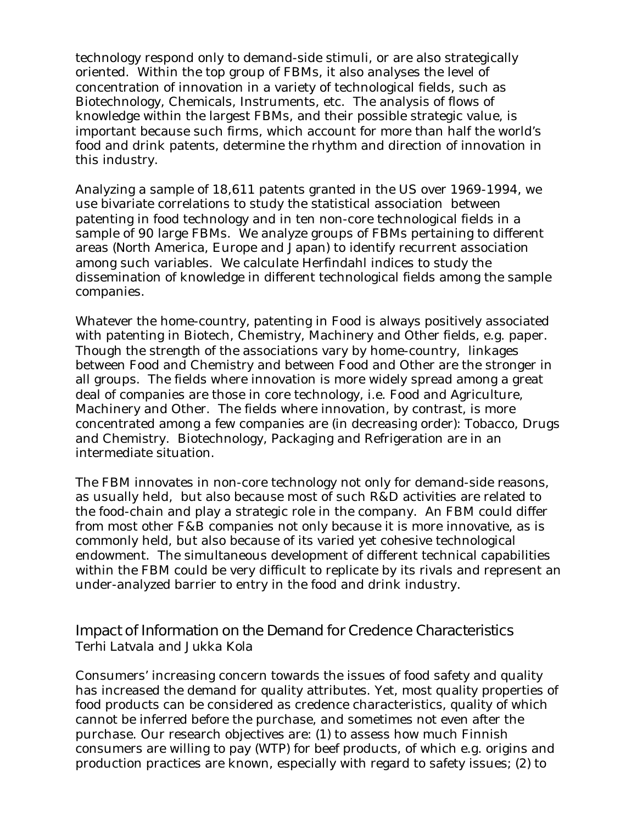technology respond only to demand-side stimuli, or are also strategically oriented. Within the top group of FBMs, it also analyses the level of concentration of innovation in a variety of technological fields, such as Biotechnology, Chemicals, Instruments, etc. The analysis of flows of knowledge within the largest FBMs, and their possible strategic value, is important because such firms, which account for more than half the world's food and drink patents, determine the rhythm and direction of innovation in this industry.

Analyzing a sample of 18,611 patents granted in the US over 1969-1994, we use bivariate correlations to study the statistical association between patenting in food technology and in ten non-core technological fields in a sample of 90 large FBMs. We analyze groups of FBMs pertaining to different areas (North America, Europe and Japan) to identify recurrent association among such variables. We calculate Herfindahl indices to study the dissemination of knowledge in different technological fields among the sample companies.

Whatever the home-country, patenting in Food is always positively associated with patenting in Biotech, Chemistry, Machinery and Other fields, e.g. paper. Though the strength of the associations vary by home-country, linkages between Food and Chemistry and between Food and Other are the stronger in all groups. The fields where innovation is more widely spread among a great deal of companies are those in core technology, i.e. Food and Agriculture, Machinery and Other. The fields where innovation, by contrast, is more concentrated among a few companies are (in decreasing order): Tobacco, Drugs and Chemistry. Biotechnology, Packaging and Refrigeration are in an intermediate situation.

The FBM innovates in non-core technology not only for demand-side reasons, as usually held, but also because most of such R&D activities are related to the food-chain and play a strategic role in the company. An FBM could differ from most other F&B companies not only because it is more innovative, as is commonly held, but also because of its varied yet cohesive technological endowment. The simultaneous development of different technical capabilities within the FBM could be very difficult to replicate by its rivals and represent an under-analyzed barrier to entry in the food and drink industry.

#### Impact of Information on the Demand for Credence Characteristics *Terhi Latvala and Jukka Kola*

Consumers' increasing concern towards the issues of food safety and quality has increased the demand for quality attributes. Yet, most quality properties of food products can be considered as credence characteristics, quality of which cannot be inferred before the purchase, and sometimes not even after the purchase. Our research objectives are: (1) to assess how much Finnish consumers are willing to pay (WTP) for beef products, of which e.g. origins and production practices are known, especially with regard to safety issues; (2) to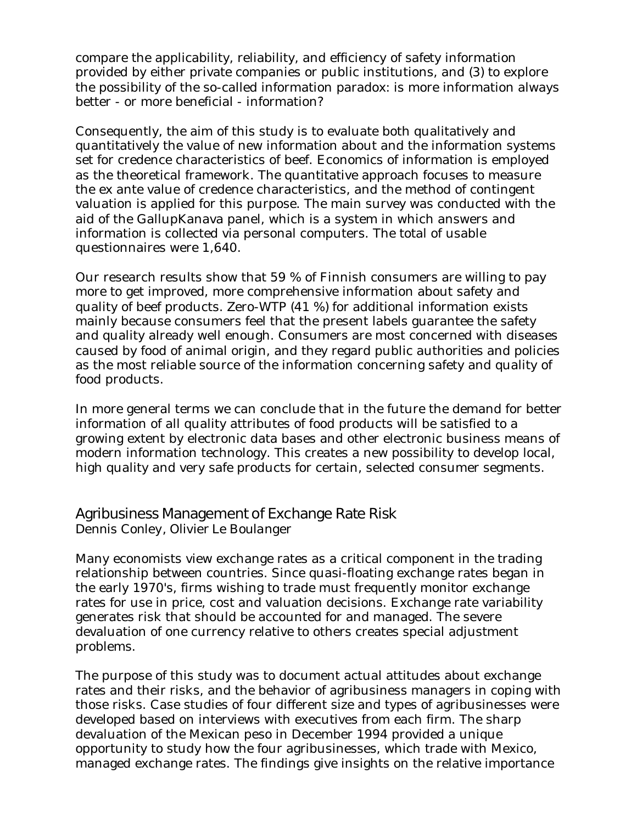compare the applicability, reliability, and efficiency of safety information provided by either private companies or public institutions, and (3) to explore the possibility of the so-called information paradox: is more information always better - or more beneficial - information?

Consequently, the aim of this study is to evaluate both qualitatively and quantitatively the value of new information about and the information systems set for credence characteristics of beef. Economics of information is employed as the theoretical framework. The quantitative approach focuses to measure the ex ante value of credence characteristics, and the method of contingent valuation is applied for this purpose. The main survey was conducted with the aid of the GallupKanava panel, which is a system in which answers and information is collected via personal computers. The total of usable questionnaires were 1,640.

Our research results show that 59 % of Finnish consumers are willing to pay more to get improved, more comprehensive information about safety and quality of beef products. Zero-WTP (41 %) for additional information exists mainly because consumers feel that the present labels guarantee the safety and quality already well enough. Consumers are most concerned with diseases caused by food of animal origin, and they regard public authorities and policies as the most reliable source of the information concerning safety and quality of food products.

In more general terms we can conclude that in the future the demand for better information of all quality attributes of food products will be satisfied to a growing extent by electronic data bases and other electronic business means of modern information technology. This creates a new possibility to develop local, high quality and very safe products for certain, selected consumer segments.

#### Agribusiness Management of Exchange Rate Risk

*Dennis Conley, Olivier Le Boulanger*

Many economists view exchange rates as a critical component in the trading relationship between countries. Since quasi-floating exchange rates began in the early 1970's, firms wishing to trade must frequently monitor exchange rates for use in price, cost and valuation decisions. Exchange rate variability generates risk that should be accounted for and managed. The severe devaluation of one currency relative to others creates special adjustment problems.

The purpose of this study was to document actual attitudes about exchange rates and their risks, and the behavior of agribusiness managers in coping with those risks. Case studies of four different size and types of agribusinesses were developed based on interviews with executives from each firm. The sharp devaluation of the Mexican peso in December 1994 provided a unique opportunity to study how the four agribusinesses, which trade with Mexico, managed exchange rates. The findings give insights on the relative importance